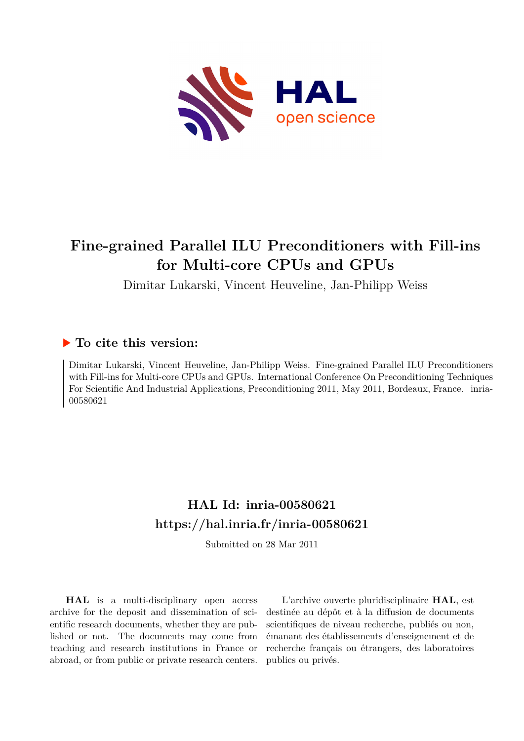

# **Fine-grained Parallel ILU Preconditioners with Fill-ins for Multi-core CPUs and GPUs**

Dimitar Lukarski, Vincent Heuveline, Jan-Philipp Weiss

### **To cite this version:**

Dimitar Lukarski, Vincent Heuveline, Jan-Philipp Weiss. Fine-grained Parallel ILU Preconditioners with Fill-ins for Multi-core CPUs and GPUs. International Conference On Preconditioning Techniques For Scientific And Industrial Applications, Preconditioning 2011, May 2011, Bordeaux, France. inria-00580621

## **HAL Id: inria-00580621 <https://hal.inria.fr/inria-00580621>**

Submitted on 28 Mar 2011

**HAL** is a multi-disciplinary open access archive for the deposit and dissemination of scientific research documents, whether they are published or not. The documents may come from teaching and research institutions in France or abroad, or from public or private research centers.

L'archive ouverte pluridisciplinaire **HAL**, est destinée au dépôt et à la diffusion de documents scientifiques de niveau recherche, publiés ou non, émanant des établissements d'enseignement et de recherche français ou étrangers, des laboratoires publics ou privés.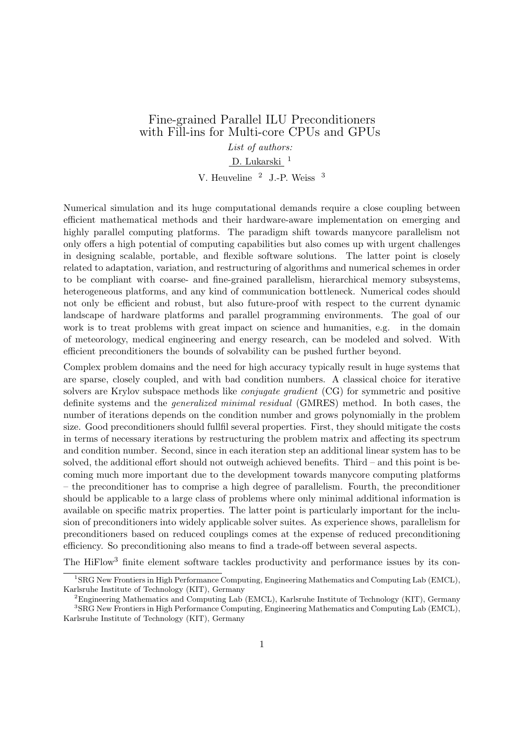### Fine-grained Parallel ILU Preconditioners with Fill-ins for Multi-core CPUs and GPUs

*List of authors:*

#### D. Lukarski<sup>1</sup>

V. Heuveline <sup>2</sup> J.-P. Weiss <sup>3</sup>

Numerical simulation and its huge computational demands require a close coupling between efficient mathematical methods and their hardware-aware implementation on emerging and highly parallel computing platforms. The paradigm shift towards manycore parallelism not only offers a high potential of computing capabilities but also comes up with urgent challenges in designing scalable, portable, and flexible software solutions. The latter point is closely related to adaptation, variation, and restructuring of algorithms and numerical schemes in order to be compliant with coarse- and fine-grained parallelism, hierarchical memory subsystems, heterogeneous platforms, and any kind of communication bottleneck. Numerical codes should not only be efficient and robust, but also future-proof with respect to the current dynamic landscape of hardware platforms and parallel programming environments. The goal of our work is to treat problems with great impact on science and humanities, e.g. in the domain of meteorology, medical engineering and energy research, can be modeled and solved. With efficient preconditioners the bounds of solvability can be pushed further beyond.

Complex problem domains and the need for high accuracy typically result in huge systems that are sparse, closely coupled, and with bad condition numbers. A classical choice for iterative solvers are Krylov subspace methods like *conjugate gradient* (CG) for symmetric and positive definite systems and the *generalized minimal residual* (GMRES) method. In both cases, the number of iterations depends on the condition number and grows polynomially in the problem size. Good preconditioners should fullfil several properties. First, they should mitigate the costs in terms of necessary iterations by restructuring the problem matrix and affecting its spectrum and condition number. Second, since in each iteration step an additional linear system has to be solved, the additional effort should not outweigh achieved benefits. Third – and this point is becoming much more important due to the development towards manycore computing platforms – the preconditioner has to comprise a high degree of parallelism. Fourth, the preconditioner should be applicable to a large class of problems where only minimal additional information is available on specific matrix properties. The latter point is particularly important for the inclusion of preconditioners into widely applicable solver suites. As experience shows, parallelism for preconditioners based on reduced couplings comes at the expense of reduced preconditioning efficiency. So preconditioning also means to find a trade-off between several aspects.

The HiFlow<sup>3</sup> finite element software tackles productivity and performance issues by its con-

<sup>1</sup>SRG New Frontiers in High Performance Computing, Engineering Mathematics and Computing Lab (EMCL), Karlsruhe Institute of Technology (KIT), Germany

 ${}^{2}$ Engineering Mathematics and Computing Lab (EMCL), Karlsruhe Institute of Technology (KIT), Germany <sup>3</sup>SRG New Frontiers in High Performance Computing, Engineering Mathematics and Computing Lab (EMCL), Karlsruhe Institute of Technology (KIT), Germany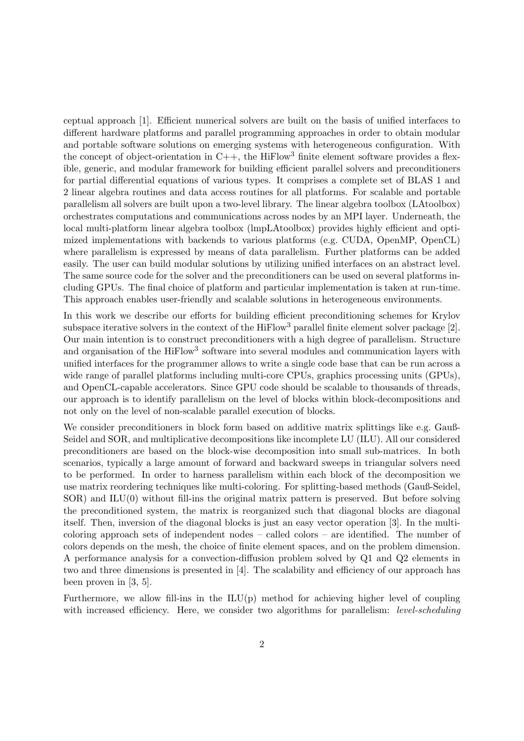ceptual approach [1]. Efficient numerical solvers are built on the basis of unified interfaces to different hardware platforms and parallel programming approaches in order to obtain modular and portable software solutions on emerging systems with heterogeneous configuration. With the concept of object-orientation in  $C++$ , the HiFlow<sup>3</sup> finite element software provides a flexible, generic, and modular framework for building efficient parallel solvers and preconditioners for partial differential equations of various types. It comprises a complete set of BLAS 1 and 2 linear algebra routines and data access routines for all platforms. For scalable and portable parallelism all solvers are built upon a two-level library. The linear algebra toolbox (LAtoolbox) orchestrates computations and communications across nodes by an MPI layer. Underneath, the local multi-platform linear algebra toolbox (lmpLAtoolbox) provides highly efficient and optimized implementations with backends to various platforms (e.g. CUDA, OpenMP, OpenCL) where parallelism is expressed by means of data parallelism. Further platforms can be added easily. The user can build modular solutions by utilizing unified interfaces on an abstract level. The same source code for the solver and the preconditioners can be used on several platforms including GPUs. The final choice of platform and particular implementation is taken at run-time. This approach enables user-friendly and scalable solutions in heterogeneous environments.

In this work we describe our efforts for building efficient preconditioning schemes for Krylov subspace iterative solvers in the context of the  $Hiflow<sup>3</sup>$  parallel finite element solver package [2]. Our main intention is to construct preconditioners with a high degree of parallelism. Structure and organisation of the HiFlow<sup>3</sup> software into several modules and communication layers with unified interfaces for the programmer allows to write a single code base that can be run across a wide range of parallel platforms including multi-core CPUs, graphics processing units (GPUs), and OpenCL-capable accelerators. Since GPU code should be scalable to thousands of threads, our approach is to identify parallelism on the level of blocks within block-decompositions and not only on the level of non-scalable parallel execution of blocks.

We consider preconditioners in block form based on additive matrix splittings like e.g. Gauß-Seidel and SOR, and multiplicative decompositions like incomplete LU (ILU). All our considered preconditioners are based on the block-wise decomposition into small sub-matrices. In both scenarios, typically a large amount of forward and backward sweeps in triangular solvers need to be performed. In order to harness parallelism within each block of the decomposition we use matrix reordering techniques like multi-coloring. For splitting-based methods (Gauß-Seidel, SOR) and ILU(0) without fill-ins the original matrix pattern is preserved. But before solving the preconditioned system, the matrix is reorganized such that diagonal blocks are diagonal itself. Then, inversion of the diagonal blocks is just an easy vector operation [3]. In the multicoloring approach sets of independent nodes – called colors – are identified. The number of colors depends on the mesh, the choice of finite element spaces, and on the problem dimension. A performance analysis for a convection-diffusion problem solved by Q1 and Q2 elements in two and three dimensions is presented in [4]. The scalability and efficiency of our approach has been proven in [3, 5].

Furthermore, we allow fill-ins in the  $ILU(p)$  method for achieving higher level of coupling with increased efficiency. Here, we consider two algorithms for parallelism: *level-scheduling*